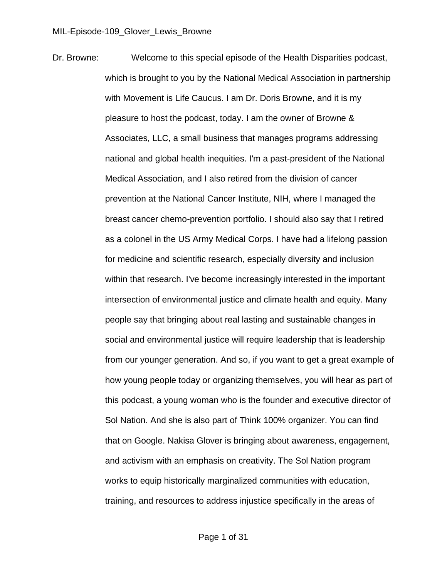Dr. Browne: Welcome to this special episode of the Health Disparities podcast, which is brought to you by the National Medical Association in partnership with Movement is Life Caucus. I am Dr. Doris Browne, and it is my pleasure to host the podcast, today. I am the owner of Browne & Associates, LLC, a small business that manages programs addressing national and global health inequities. I'm a past-president of the National Medical Association, and I also retired from the division of cancer prevention at the National Cancer Institute, NIH, where I managed the breast cancer chemo-prevention portfolio. I should also say that I retired as a colonel in the US Army Medical Corps. I have had a lifelong passion for medicine and scientific research, especially diversity and inclusion within that research. I've become increasingly interested in the important intersection of environmental justice and climate health and equity. Many people say that bringing about real lasting and sustainable changes in social and environmental justice will require leadership that is leadership from our younger generation. And so, if you want to get a great example of how young people today or organizing themselves, you will hear as part of this podcast, a young woman who is the founder and executive director of Sol Nation. And she is also part of Think 100% organizer. You can find that on Google. Nakisa Glover is bringing about awareness, engagement, and activism with an emphasis on creativity. The Sol Nation program works to equip historically marginalized communities with education, training, and resources to address injustice specifically in the areas of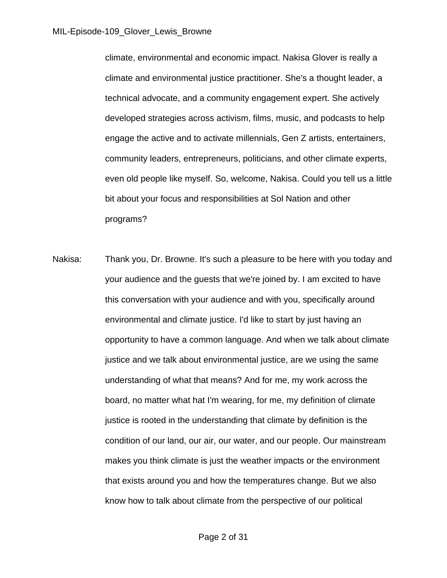climate, environmental and economic impact. Nakisa Glover is really a climate and environmental justice practitioner. She's a thought leader, a technical advocate, and a community engagement expert. She actively developed strategies across activism, films, music, and podcasts to help engage the active and to activate millennials, Gen Z artists, entertainers, community leaders, entrepreneurs, politicians, and other climate experts, even old people like myself. So, welcome, Nakisa. Could you tell us a little bit about your focus and responsibilities at Sol Nation and other programs?

Nakisa: Thank you, Dr. Browne. It's such a pleasure to be here with you today and your audience and the guests that we're joined by. I am excited to have this conversation with your audience and with you, specifically around environmental and climate justice. I'd like to start by just having an opportunity to have a common language. And when we talk about climate justice and we talk about environmental justice, are we using the same understanding of what that means? And for me, my work across the board, no matter what hat I'm wearing, for me, my definition of climate justice is rooted in the understanding that climate by definition is the condition of our land, our air, our water, and our people. Our mainstream makes you think climate is just the weather impacts or the environment that exists around you and how the temperatures change. But we also know how to talk about climate from the perspective of our political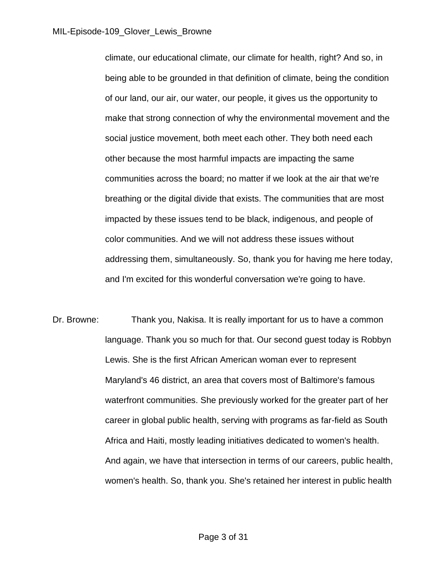climate, our educational climate, our climate for health, right? And so, in being able to be grounded in that definition of climate, being the condition of our land, our air, our water, our people, it gives us the opportunity to make that strong connection of why the environmental movement and the social justice movement, both meet each other. They both need each other because the most harmful impacts are impacting the same communities across the board; no matter if we look at the air that we're breathing or the digital divide that exists. The communities that are most impacted by these issues tend to be black, indigenous, and people of color communities. And we will not address these issues without addressing them, simultaneously. So, thank you for having me here today, and I'm excited for this wonderful conversation we're going to have.

Dr. Browne: Thank you, Nakisa. It is really important for us to have a common language. Thank you so much for that. Our second guest today is Robbyn Lewis. She is the first African American woman ever to represent Maryland's 46 district, an area that covers most of Baltimore's famous waterfront communities. She previously worked for the greater part of her career in global public health, serving with programs as far-field as South Africa and Haiti, mostly leading initiatives dedicated to women's health. And again, we have that intersection in terms of our careers, public health, women's health. So, thank you. She's retained her interest in public health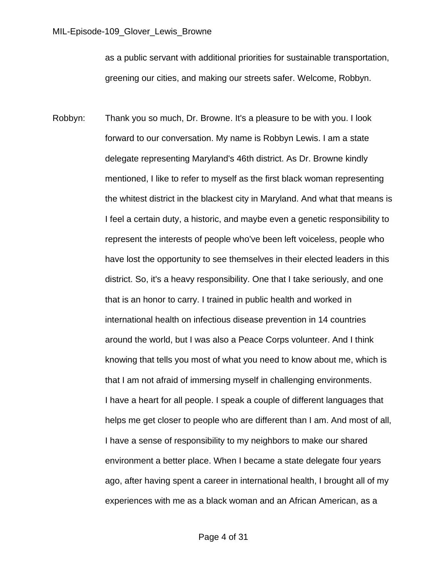as a public servant with additional priorities for sustainable transportation, greening our cities, and making our streets safer. Welcome, Robbyn.

Robbyn: Thank you so much, Dr. Browne. It's a pleasure to be with you. I look forward to our conversation. My name is Robbyn Lewis. I am a state delegate representing Maryland's 46th district. As Dr. Browne kindly mentioned, I like to refer to myself as the first black woman representing the whitest district in the blackest city in Maryland. And what that means is I feel a certain duty, a historic, and maybe even a genetic responsibility to represent the interests of people who've been left voiceless, people who have lost the opportunity to see themselves in their elected leaders in this district. So, it's a heavy responsibility. One that I take seriously, and one that is an honor to carry. I trained in public health and worked in international health on infectious disease prevention in 14 countries around the world, but I was also a Peace Corps volunteer. And I think knowing that tells you most of what you need to know about me, which is that I am not afraid of immersing myself in challenging environments. I have a heart for all people. I speak a couple of different languages that helps me get closer to people who are different than I am. And most of all, I have a sense of responsibility to my neighbors to make our shared environment a better place. When I became a state delegate four years ago, after having spent a career in international health, I brought all of my experiences with me as a black woman and an African American, as a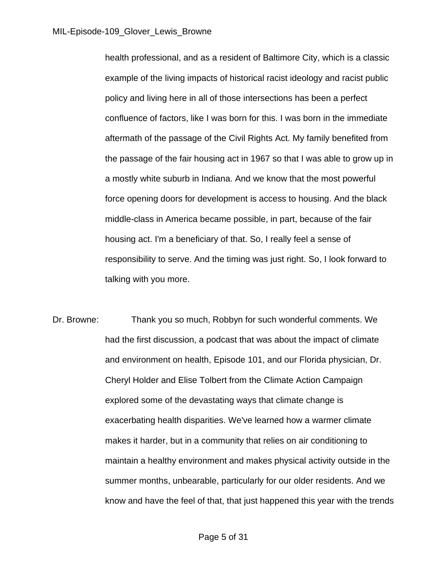health professional, and as a resident of Baltimore City, which is a classic example of the living impacts of historical racist ideology and racist public policy and living here in all of those intersections has been a perfect confluence of factors, like I was born for this. I was born in the immediate aftermath of the passage of the Civil Rights Act. My family benefited from the passage of the fair housing act in 1967 so that I was able to grow up in a mostly white suburb in Indiana. And we know that the most powerful force opening doors for development is access to housing. And the black middle-class in America became possible, in part, because of the fair housing act. I'm a beneficiary of that. So, I really feel a sense of responsibility to serve. And the timing was just right. So, I look forward to talking with you more.

Dr. Browne: Thank you so much, Robbyn for such wonderful comments. We had the first discussion, a podcast that was about the impact of climate and environment on health, Episode 101, and our Florida physician, Dr. Cheryl Holder and Elise Tolbert from the Climate Action Campaign explored some of the devastating ways that climate change is exacerbating health disparities. We've learned how a warmer climate makes it harder, but in a community that relies on air conditioning to maintain a healthy environment and makes physical activity outside in the summer months, unbearable, particularly for our older residents. And we know and have the feel of that, that just happened this year with the trends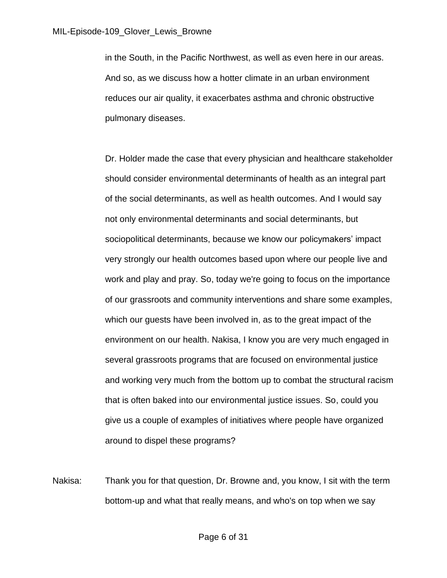in the South, in the Pacific Northwest, as well as even here in our areas. And so, as we discuss how a hotter climate in an urban environment reduces our air quality, it exacerbates asthma and chronic obstructive pulmonary diseases.

Dr. Holder made the case that every physician and healthcare stakeholder should consider environmental determinants of health as an integral part of the social determinants, as well as health outcomes. And I would say not only environmental determinants and social determinants, but sociopolitical determinants, because we know our policymakers' impact very strongly our health outcomes based upon where our people live and work and play and pray. So, today we're going to focus on the importance of our grassroots and community interventions and share some examples, which our guests have been involved in, as to the great impact of the environment on our health. Nakisa, I know you are very much engaged in several grassroots programs that are focused on environmental justice and working very much from the bottom up to combat the structural racism that is often baked into our environmental justice issues. So, could you give us a couple of examples of initiatives where people have organized around to dispel these programs?

Nakisa: Thank you for that question, Dr. Browne and, you know, I sit with the term bottom-up and what that really means, and who's on top when we say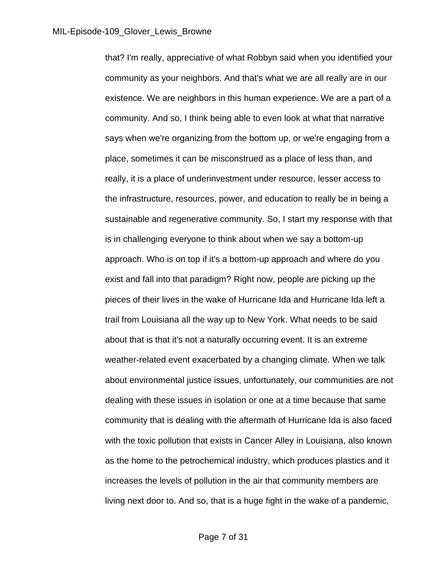that? I'm really, appreciative of what Robbyn said when you identified your community as your neighbors. And that's what we are all really are in our existence. We are neighbors in this human experience. We are a part of a community. And so, I think being able to even look at what that narrative says when we're organizing from the bottom up, or we're engaging from a place, sometimes it can be misconstrued as a place of less than, and really, it is a place of underinvestment under resource, lesser access to the infrastructure, resources, power, and education to really be in being a sustainable and regenerative community. So, I start my response with that is in challenging everyone to think about when we say a bottom-up approach. Who is on top if it's a bottom-up approach and where do you exist and fall into that paradigm? Right now, people are picking up the pieces of their lives in the wake of Hurricane Ida and Hurricane Ida left a trail from Louisiana all the way up to New York. What needs to be said about that is that it's not a naturally occurring event. It is an extreme weather-related event exacerbated by a changing climate. When we talk about environmental justice issues, unfortunately, our communities are not dealing with these issues in isolation or one at a time because that same community that is dealing with the aftermath of Hurricane Ida is also faced with the toxic pollution that exists in Cancer Alley in Louisiana, also known as the home to the petrochemical industry, which produces plastics and it increases the levels of pollution in the air that community members are living next door to. And so, that is a huge fight in the wake of a pandemic,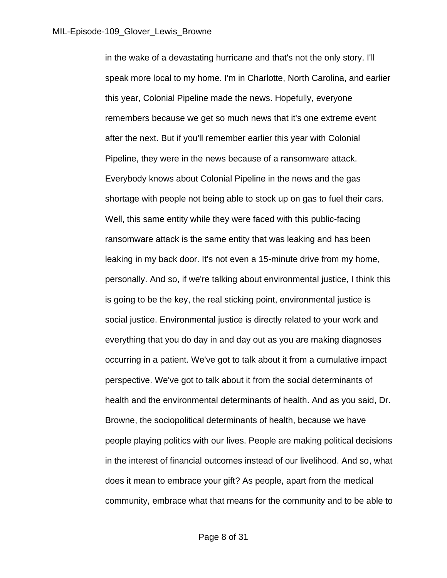in the wake of a devastating hurricane and that's not the only story. I'll speak more local to my home. I'm in Charlotte, North Carolina, and earlier this year, Colonial Pipeline made the news. Hopefully, everyone remembers because we get so much news that it's one extreme event after the next. But if you'll remember earlier this year with Colonial Pipeline, they were in the news because of a ransomware attack. Everybody knows about Colonial Pipeline in the news and the gas shortage with people not being able to stock up on gas to fuel their cars. Well, this same entity while they were faced with this public-facing ransomware attack is the same entity that was leaking and has been leaking in my back door. It's not even a 15-minute drive from my home, personally. And so, if we're talking about environmental justice, I think this is going to be the key, the real sticking point, environmental justice is social justice. Environmental justice is directly related to your work and everything that you do day in and day out as you are making diagnoses occurring in a patient. We've got to talk about it from a cumulative impact perspective. We've got to talk about it from the social determinants of health and the environmental determinants of health. And as you said, Dr. Browne, the sociopolitical determinants of health, because we have people playing politics with our lives. People are making political decisions in the interest of financial outcomes instead of our livelihood. And so, what does it mean to embrace your gift? As people, apart from the medical community, embrace what that means for the community and to be able to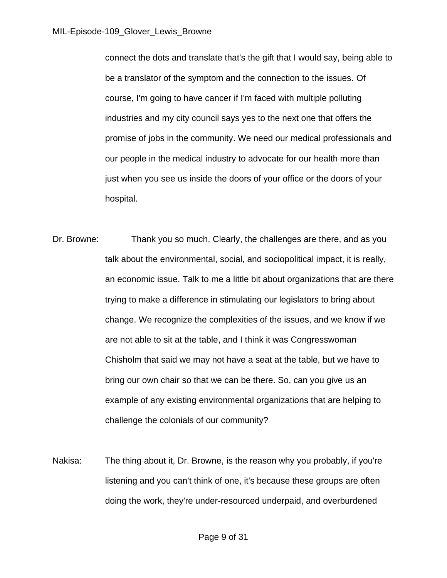connect the dots and translate that's the gift that I would say, being able to be a translator of the symptom and the connection to the issues. Of course, I'm going to have cancer if I'm faced with multiple polluting industries and my city council says yes to the next one that offers the promise of jobs in the community. We need our medical professionals and our people in the medical industry to advocate for our health more than just when you see us inside the doors of your office or the doors of your hospital.

- Dr. Browne: Thank you so much. Clearly, the challenges are there, and as you talk about the environmental, social, and sociopolitical impact, it is really, an economic issue. Talk to me a little bit about organizations that are there trying to make a difference in stimulating our legislators to bring about change. We recognize the complexities of the issues, and we know if we are not able to sit at the table, and I think it was Congresswoman Chisholm that said we may not have a seat at the table, but we have to bring our own chair so that we can be there. So, can you give us an example of any existing environmental organizations that are helping to challenge the colonials of our community?
- Nakisa: The thing about it, Dr. Browne, is the reason why you probably, if you're listening and you can't think of one, it's because these groups are often doing the work, they're under-resourced underpaid, and overburdened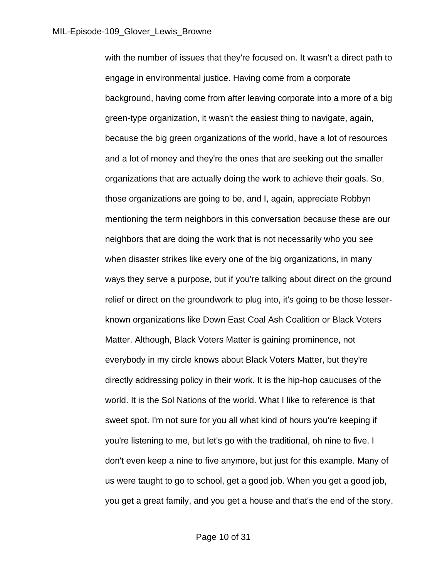with the number of issues that they're focused on. It wasn't a direct path to engage in environmental justice. Having come from a corporate background, having come from after leaving corporate into a more of a big green-type organization, it wasn't the easiest thing to navigate, again, because the big green organizations of the world, have a lot of resources and a lot of money and they're the ones that are seeking out the smaller organizations that are actually doing the work to achieve their goals. So, those organizations are going to be, and I, again, appreciate Robbyn mentioning the term neighbors in this conversation because these are our neighbors that are doing the work that is not necessarily who you see when disaster strikes like every one of the big organizations, in many ways they serve a purpose, but if you're talking about direct on the ground relief or direct on the groundwork to plug into, it's going to be those lesserknown organizations like Down East Coal Ash Coalition or Black Voters Matter. Although, Black Voters Matter is gaining prominence, not everybody in my circle knows about Black Voters Matter, but they're directly addressing policy in their work. It is the hip-hop caucuses of the world. It is the Sol Nations of the world. What I like to reference is that sweet spot. I'm not sure for you all what kind of hours you're keeping if you're listening to me, but let's go with the traditional, oh nine to five. I don't even keep a nine to five anymore, but just for this example. Many of us were taught to go to school, get a good job. When you get a good job, you get a great family, and you get a house and that's the end of the story.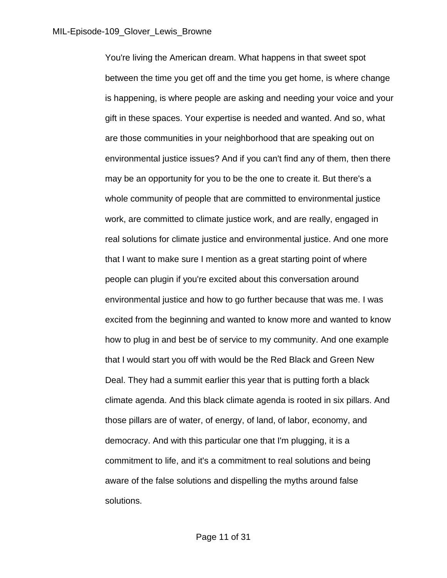You're living the American dream. What happens in that sweet spot between the time you get off and the time you get home, is where change is happening, is where people are asking and needing your voice and your gift in these spaces. Your expertise is needed and wanted. And so, what are those communities in your neighborhood that are speaking out on environmental justice issues? And if you can't find any of them, then there may be an opportunity for you to be the one to create it. But there's a whole community of people that are committed to environmental justice work, are committed to climate justice work, and are really, engaged in real solutions for climate justice and environmental justice. And one more that I want to make sure I mention as a great starting point of where people can plugin if you're excited about this conversation around environmental justice and how to go further because that was me. I was excited from the beginning and wanted to know more and wanted to know how to plug in and best be of service to my community. And one example that I would start you off with would be the Red Black and Green New Deal. They had a summit earlier this year that is putting forth a black climate agenda. And this black climate agenda is rooted in six pillars. And those pillars are of water, of energy, of land, of labor, economy, and democracy. And with this particular one that I'm plugging, it is a commitment to life, and it's a commitment to real solutions and being aware of the false solutions and dispelling the myths around false solutions.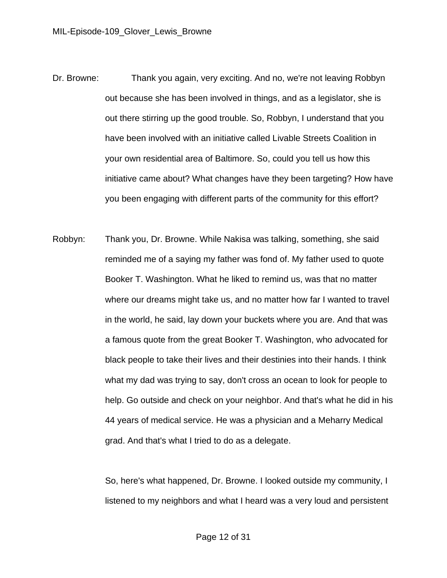- Dr. Browne: Thank you again, very exciting. And no, we're not leaving Robbyn out because she has been involved in things, and as a legislator, she is out there stirring up the good trouble. So, Robbyn, I understand that you have been involved with an initiative called Livable Streets Coalition in your own residential area of Baltimore. So, could you tell us how this initiative came about? What changes have they been targeting? How have you been engaging with different parts of the community for this effort?
- Robbyn: Thank you, Dr. Browne. While Nakisa was talking, something, she said reminded me of a saying my father was fond of. My father used to quote Booker T. Washington. What he liked to remind us, was that no matter where our dreams might take us, and no matter how far I wanted to travel in the world, he said, lay down your buckets where you are. And that was a famous quote from the great Booker T. Washington, who advocated for black people to take their lives and their destinies into their hands. I think what my dad was trying to say, don't cross an ocean to look for people to help. Go outside and check on your neighbor. And that's what he did in his 44 years of medical service. He was a physician and a Meharry Medical grad. And that's what I tried to do as a delegate.

 So, here's what happened, Dr. Browne. I looked outside my community, I listened to my neighbors and what I heard was a very loud and persistent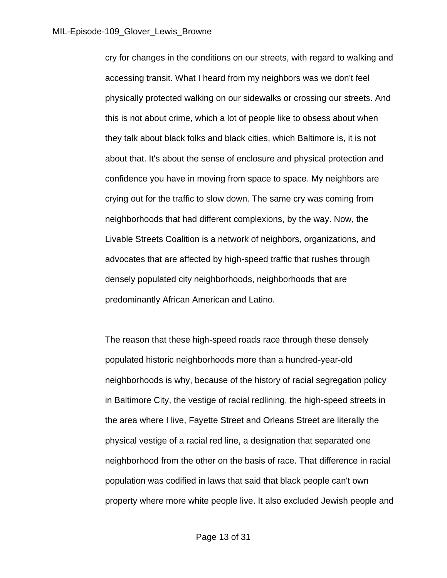cry for changes in the conditions on our streets, with regard to walking and accessing transit. What I heard from my neighbors was we don't feel physically protected walking on our sidewalks or crossing our streets. And this is not about crime, which a lot of people like to obsess about when they talk about black folks and black cities, which Baltimore is, it is not about that. It's about the sense of enclosure and physical protection and confidence you have in moving from space to space. My neighbors are crying out for the traffic to slow down. The same cry was coming from neighborhoods that had different complexions, by the way. Now, the Livable Streets Coalition is a network of neighbors, organizations, and advocates that are affected by high-speed traffic that rushes through densely populated city neighborhoods, neighborhoods that are predominantly African American and Latino.

 The reason that these high-speed roads race through these densely populated historic neighborhoods more than a hundred-year-old neighborhoods is why, because of the history of racial segregation policy in Baltimore City, the vestige of racial redlining, the high-speed streets in the area where I live, Fayette Street and Orleans Street are literally the physical vestige of a racial red line, a designation that separated one neighborhood from the other on the basis of race. That difference in racial population was codified in laws that said that black people can't own property where more white people live. It also excluded Jewish people and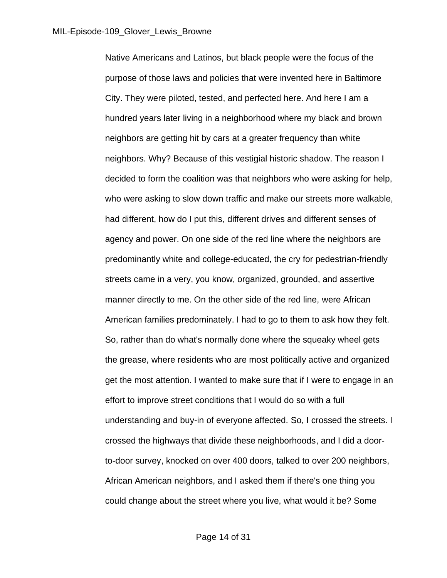Native Americans and Latinos, but black people were the focus of the purpose of those laws and policies that were invented here in Baltimore City. They were piloted, tested, and perfected here. And here I am a hundred years later living in a neighborhood where my black and brown neighbors are getting hit by cars at a greater frequency than white neighbors. Why? Because of this vestigial historic shadow. The reason I decided to form the coalition was that neighbors who were asking for help, who were asking to slow down traffic and make our streets more walkable, had different, how do I put this, different drives and different senses of agency and power. On one side of the red line where the neighbors are predominantly white and college-educated, the cry for pedestrian-friendly streets came in a very, you know, organized, grounded, and assertive manner directly to me. On the other side of the red line, were African American families predominately. I had to go to them to ask how they felt. So, rather than do what's normally done where the squeaky wheel gets the grease, where residents who are most politically active and organized get the most attention. I wanted to make sure that if I were to engage in an effort to improve street conditions that I would do so with a full understanding and buy-in of everyone affected. So, I crossed the streets. I crossed the highways that divide these neighborhoods, and I did a doorto-door survey, knocked on over 400 doors, talked to over 200 neighbors, African American neighbors, and I asked them if there's one thing you could change about the street where you live, what would it be? Some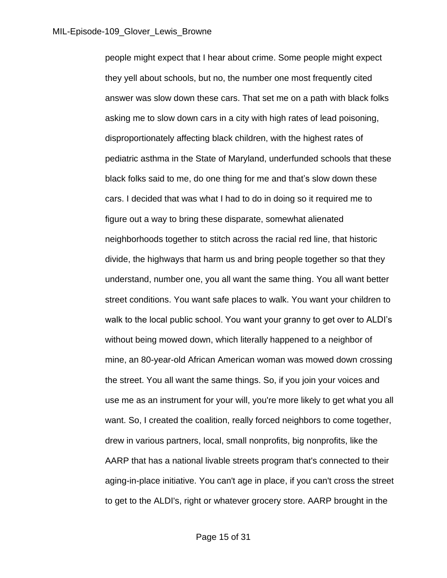people might expect that I hear about crime. Some people might expect they yell about schools, but no, the number one most frequently cited answer was slow down these cars. That set me on a path with black folks asking me to slow down cars in a city with high rates of lead poisoning, disproportionately affecting black children, with the highest rates of pediatric asthma in the State of Maryland, underfunded schools that these black folks said to me, do one thing for me and that's slow down these cars. I decided that was what I had to do in doing so it required me to figure out a way to bring these disparate, somewhat alienated neighborhoods together to stitch across the racial red line, that historic divide, the highways that harm us and bring people together so that they understand, number one, you all want the same thing. You all want better street conditions. You want safe places to walk. You want your children to walk to the local public school. You want your granny to get over to ALDI's without being mowed down, which literally happened to a neighbor of mine, an 80-year-old African American woman was mowed down crossing the street. You all want the same things. So, if you join your voices and use me as an instrument for your will, you're more likely to get what you all want. So, I created the coalition, really forced neighbors to come together, drew in various partners, local, small nonprofits, big nonprofits, like the AARP that has a national livable streets program that's connected to their aging-in-place initiative. You can't age in place, if you can't cross the street to get to the ALDI's, right or whatever grocery store. AARP brought in the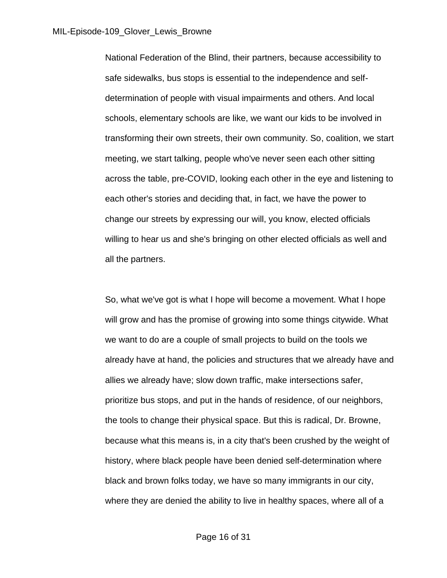National Federation of the Blind, their partners, because accessibility to safe sidewalks, bus stops is essential to the independence and selfdetermination of people with visual impairments and others. And local schools, elementary schools are like, we want our kids to be involved in transforming their own streets, their own community. So, coalition, we start meeting, we start talking, people who've never seen each other sitting across the table, pre-COVID, looking each other in the eye and listening to each other's stories and deciding that, in fact, we have the power to change our streets by expressing our will, you know, elected officials willing to hear us and she's bringing on other elected officials as well and all the partners.

So, what we've got is what I hope will become a movement. What I hope will grow and has the promise of growing into some things citywide. What we want to do are a couple of small projects to build on the tools we already have at hand, the policies and structures that we already have and allies we already have; slow down traffic, make intersections safer, prioritize bus stops, and put in the hands of residence, of our neighbors, the tools to change their physical space. But this is radical, Dr. Browne, because what this means is, in a city that's been crushed by the weight of history, where black people have been denied self-determination where black and brown folks today, we have so many immigrants in our city, where they are denied the ability to live in healthy spaces, where all of a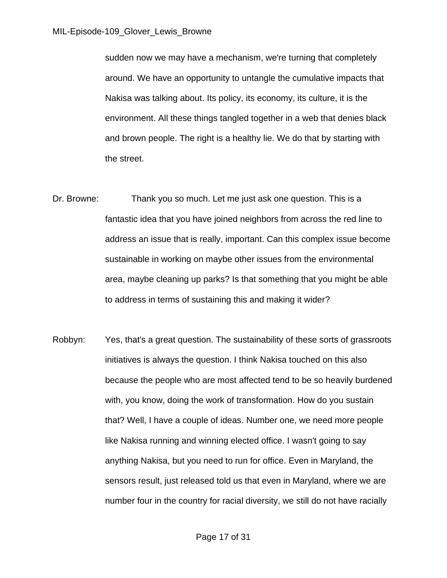sudden now we may have a mechanism, we're turning that completely around. We have an opportunity to untangle the cumulative impacts that Nakisa was talking about. Its policy, its economy, its culture, it is the environment. All these things tangled together in a web that denies black and brown people. The right is a healthy lie. We do that by starting with the street.

- Dr. Browne: Thank you so much. Let me just ask one question. This is a fantastic idea that you have joined neighbors from across the red line to address an issue that is really, important. Can this complex issue become sustainable in working on maybe other issues from the environmental area, maybe cleaning up parks? Is that something that you might be able to address in terms of sustaining this and making it wider?
- Robbyn: Yes, that's a great question. The sustainability of these sorts of grassroots initiatives is always the question. I think Nakisa touched on this also because the people who are most affected tend to be so heavily burdened with, you know, doing the work of transformation. How do you sustain that? Well, I have a couple of ideas. Number one, we need more people like Nakisa running and winning elected office. I wasn't going to say anything Nakisa, but you need to run for office. Even in Maryland, the sensors result, just released told us that even in Maryland, where we are number four in the country for racial diversity, we still do not have racially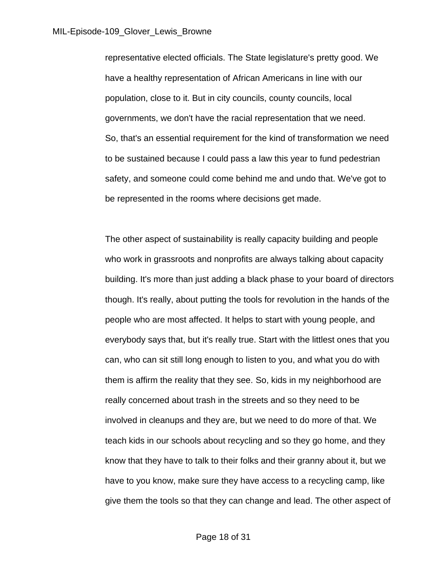representative elected officials. The State legislature's pretty good. We have a healthy representation of African Americans in line with our population, close to it. But in city councils, county councils, local governments, we don't have the racial representation that we need. So, that's an essential requirement for the kind of transformation we need to be sustained because I could pass a law this year to fund pedestrian safety, and someone could come behind me and undo that. We've got to be represented in the rooms where decisions get made.

The other aspect of sustainability is really capacity building and people who work in grassroots and nonprofits are always talking about capacity building. It's more than just adding a black phase to your board of directors though. It's really, about putting the tools for revolution in the hands of the people who are most affected. It helps to start with young people, and everybody says that, but it's really true. Start with the littlest ones that you can, who can sit still long enough to listen to you, and what you do with them is affirm the reality that they see. So, kids in my neighborhood are really concerned about trash in the streets and so they need to be involved in cleanups and they are, but we need to do more of that. We teach kids in our schools about recycling and so they go home, and they know that they have to talk to their folks and their granny about it, but we have to you know, make sure they have access to a recycling camp, like give them the tools so that they can change and lead. The other aspect of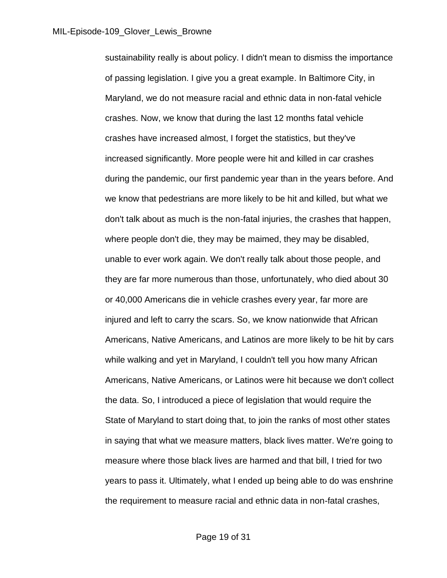sustainability really is about policy. I didn't mean to dismiss the importance of passing legislation. I give you a great example. In Baltimore City, in Maryland, we do not measure racial and ethnic data in non-fatal vehicle crashes. Now, we know that during the last 12 months fatal vehicle crashes have increased almost, I forget the statistics, but they've increased significantly. More people were hit and killed in car crashes during the pandemic, our first pandemic year than in the years before. And we know that pedestrians are more likely to be hit and killed, but what we don't talk about as much is the non-fatal injuries, the crashes that happen, where people don't die, they may be maimed, they may be disabled, unable to ever work again. We don't really talk about those people, and they are far more numerous than those, unfortunately, who died about 30 or 40,000 Americans die in vehicle crashes every year, far more are injured and left to carry the scars. So, we know nationwide that African Americans, Native Americans, and Latinos are more likely to be hit by cars while walking and yet in Maryland, I couldn't tell you how many African Americans, Native Americans, or Latinos were hit because we don't collect the data. So, I introduced a piece of legislation that would require the State of Maryland to start doing that, to join the ranks of most other states in saying that what we measure matters, black lives matter. We're going to measure where those black lives are harmed and that bill, I tried for two years to pass it. Ultimately, what I ended up being able to do was enshrine the requirement to measure racial and ethnic data in non-fatal crashes,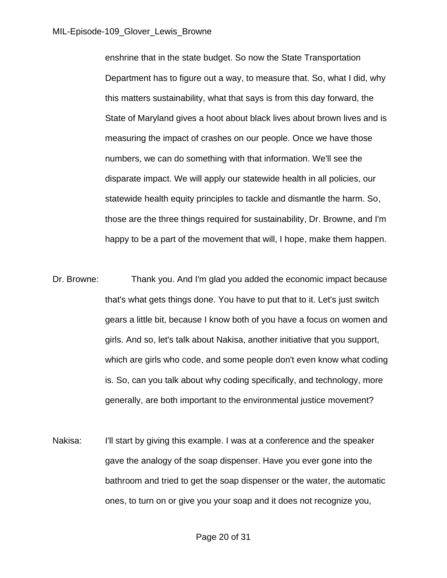enshrine that in the state budget. So now the State Transportation Department has to figure out a way, to measure that. So, what I did, why this matters sustainability, what that says is from this day forward, the State of Maryland gives a hoot about black lives about brown lives and is measuring the impact of crashes on our people. Once we have those numbers, we can do something with that information. We'll see the disparate impact. We will apply our statewide health in all policies, our statewide health equity principles to tackle and dismantle the harm. So, those are the three things required for sustainability, Dr. Browne, and I'm happy to be a part of the movement that will, I hope, make them happen.

- Dr. Browne: Thank you. And I'm glad you added the economic impact because that's what gets things done. You have to put that to it. Let's just switch gears a little bit, because I know both of you have a focus on women and girls. And so, let's talk about Nakisa, another initiative that you support, which are girls who code, and some people don't even know what coding is. So, can you talk about why coding specifically, and technology, more generally, are both important to the environmental justice movement?
- Nakisa: I'll start by giving this example. I was at a conference and the speaker gave the analogy of the soap dispenser. Have you ever gone into the bathroom and tried to get the soap dispenser or the water, the automatic ones, to turn on or give you your soap and it does not recognize you,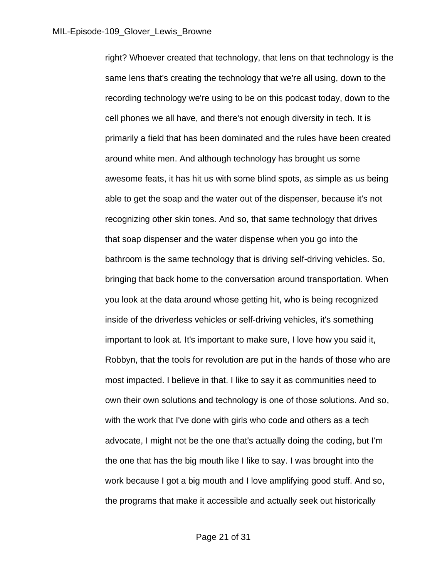right? Whoever created that technology, that lens on that technology is the same lens that's creating the technology that we're all using, down to the recording technology we're using to be on this podcast today, down to the cell phones we all have, and there's not enough diversity in tech. It is primarily a field that has been dominated and the rules have been created around white men. And although technology has brought us some awesome feats, it has hit us with some blind spots, as simple as us being able to get the soap and the water out of the dispenser, because it's not recognizing other skin tones. And so, that same technology that drives that soap dispenser and the water dispense when you go into the bathroom is the same technology that is driving self-driving vehicles. So, bringing that back home to the conversation around transportation. When you look at the data around whose getting hit, who is being recognized inside of the driverless vehicles or self-driving vehicles, it's something important to look at. It's important to make sure, I love how you said it, Robbyn, that the tools for revolution are put in the hands of those who are most impacted. I believe in that. I like to say it as communities need to own their own solutions and technology is one of those solutions. And so, with the work that I've done with girls who code and others as a tech advocate, I might not be the one that's actually doing the coding, but I'm the one that has the big mouth like I like to say. I was brought into the work because I got a big mouth and I love amplifying good stuff. And so, the programs that make it accessible and actually seek out historically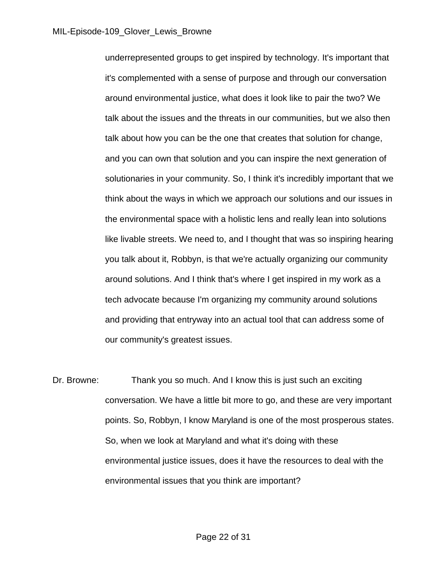underrepresented groups to get inspired by technology. It's important that it's complemented with a sense of purpose and through our conversation around environmental justice, what does it look like to pair the two? We talk about the issues and the threats in our communities, but we also then talk about how you can be the one that creates that solution for change, and you can own that solution and you can inspire the next generation of solutionaries in your community. So, I think it's incredibly important that we think about the ways in which we approach our solutions and our issues in the environmental space with a holistic lens and really lean into solutions like livable streets. We need to, and I thought that was so inspiring hearing you talk about it, Robbyn, is that we're actually organizing our community around solutions. And I think that's where I get inspired in my work as a tech advocate because I'm organizing my community around solutions and providing that entryway into an actual tool that can address some of our community's greatest issues.

Dr. Browne: Thank you so much. And I know this is just such an exciting conversation. We have a little bit more to go, and these are very important points. So, Robbyn, I know Maryland is one of the most prosperous states. So, when we look at Maryland and what it's doing with these environmental justice issues, does it have the resources to deal with the environmental issues that you think are important?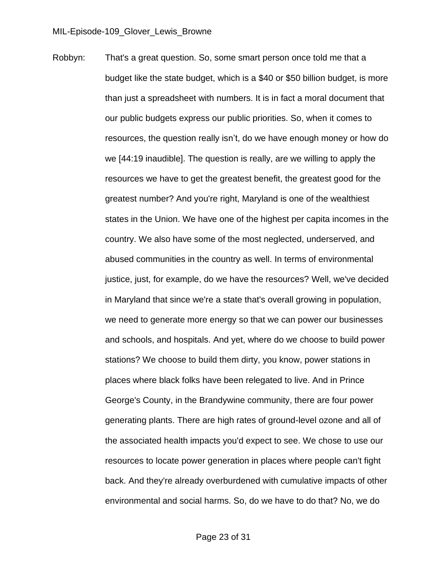Robbyn: That's a great question. So, some smart person once told me that a budget like the state budget, which is a \$40 or \$50 billion budget, is more than just a spreadsheet with numbers. It is in fact a moral document that our public budgets express our public priorities. So, when it comes to resources, the question really isn't, do we have enough money or how do we [44:19 inaudible]. The question is really, are we willing to apply the resources we have to get the greatest benefit, the greatest good for the greatest number? And you're right, Maryland is one of the wealthiest states in the Union. We have one of the highest per capita incomes in the country. We also have some of the most neglected, underserved, and abused communities in the country as well. In terms of environmental justice, just, for example, do we have the resources? Well, we've decided in Maryland that since we're a state that's overall growing in population, we need to generate more energy so that we can power our businesses and schools, and hospitals. And yet, where do we choose to build power stations? We choose to build them dirty, you know, power stations in places where black folks have been relegated to live. And in Prince George's County, in the Brandywine community, there are four power generating plants. There are high rates of ground-level ozone and all of the associated health impacts you'd expect to see. We chose to use our resources to locate power generation in places where people can't fight back. And they're already overburdened with cumulative impacts of other environmental and social harms. So, do we have to do that? No, we do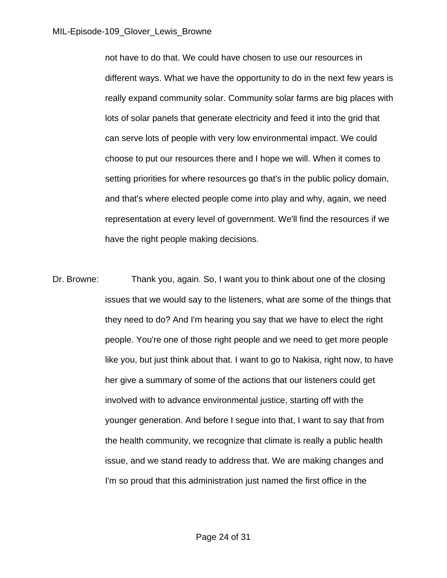not have to do that. We could have chosen to use our resources in different ways. What we have the opportunity to do in the next few years is really expand community solar. Community solar farms are big places with lots of solar panels that generate electricity and feed it into the grid that can serve lots of people with very low environmental impact. We could choose to put our resources there and I hope we will. When it comes to setting priorities for where resources go that's in the public policy domain, and that's where elected people come into play and why, again, we need representation at every level of government. We'll find the resources if we have the right people making decisions.

Dr. Browne: Thank you, again. So, I want you to think about one of the closing issues that we would say to the listeners, what are some of the things that they need to do? And I'm hearing you say that we have to elect the right people. You're one of those right people and we need to get more people like you, but just think about that. I want to go to Nakisa, right now, to have her give a summary of some of the actions that our listeners could get involved with to advance environmental justice, starting off with the younger generation. And before I segue into that, I want to say that from the health community, we recognize that climate is really a public health issue, and we stand ready to address that. We are making changes and I'm so proud that this administration just named the first office in the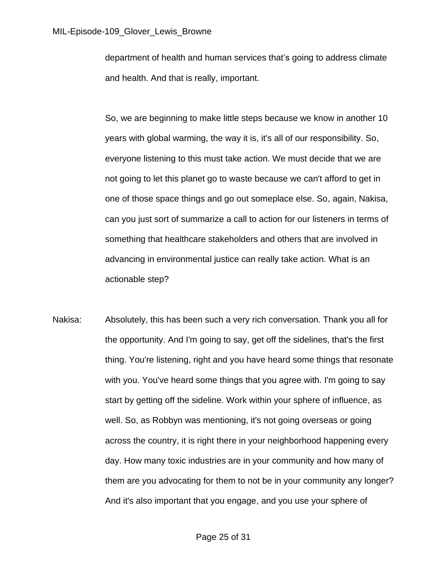department of health and human services that's going to address climate and health. And that is really, important.

 So, we are beginning to make little steps because we know in another 10 years with global warming, the way it is, it's all of our responsibility. So, everyone listening to this must take action. We must decide that we are not going to let this planet go to waste because we can't afford to get in one of those space things and go out someplace else. So, again, Nakisa, can you just sort of summarize a call to action for our listeners in terms of something that healthcare stakeholders and others that are involved in advancing in environmental justice can really take action. What is an actionable step?

Nakisa: Absolutely, this has been such a very rich conversation. Thank you all for the opportunity. And I'm going to say, get off the sidelines, that's the first thing. You're listening, right and you have heard some things that resonate with you. You've heard some things that you agree with. I'm going to say start by getting off the sideline. Work within your sphere of influence, as well. So, as Robbyn was mentioning, it's not going overseas or going across the country, it is right there in your neighborhood happening every day. How many toxic industries are in your community and how many of them are you advocating for them to not be in your community any longer? And it's also important that you engage, and you use your sphere of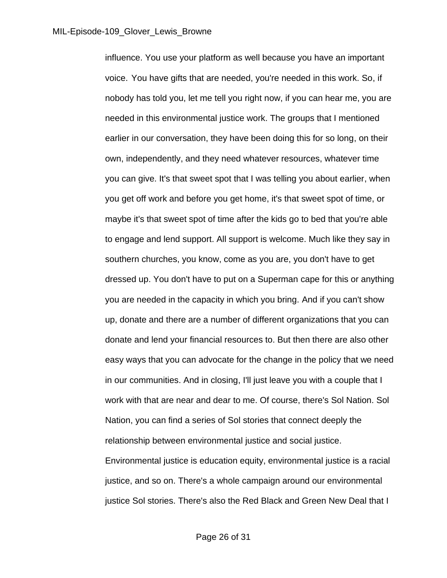influence. You use your platform as well because you have an important voice. You have gifts that are needed, you're needed in this work. So, if nobody has told you, let me tell you right now, if you can hear me, you are needed in this environmental justice work. The groups that I mentioned earlier in our conversation, they have been doing this for so long, on their own, independently, and they need whatever resources, whatever time you can give. It's that sweet spot that I was telling you about earlier, when you get off work and before you get home, it's that sweet spot of time, or maybe it's that sweet spot of time after the kids go to bed that you're able to engage and lend support. All support is welcome. Much like they say in southern churches, you know, come as you are, you don't have to get dressed up. You don't have to put on a Superman cape for this or anything you are needed in the capacity in which you bring. And if you can't show up, donate and there are a number of different organizations that you can donate and lend your financial resources to. But then there are also other easy ways that you can advocate for the change in the policy that we need in our communities. And in closing, I'll just leave you with a couple that I work with that are near and dear to me. Of course, there's Sol Nation. Sol Nation, you can find a series of Sol stories that connect deeply the relationship between environmental justice and social justice. Environmental justice is education equity, environmental justice is a racial justice, and so on. There's a whole campaign around our environmental justice Sol stories. There's also the Red Black and Green New Deal that I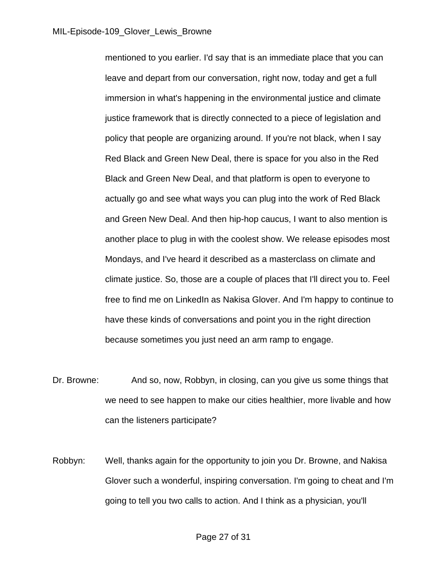mentioned to you earlier. I'd say that is an immediate place that you can leave and depart from our conversation, right now, today and get a full immersion in what's happening in the environmental justice and climate justice framework that is directly connected to a piece of legislation and policy that people are organizing around. If you're not black, when I say Red Black and Green New Deal, there is space for you also in the Red Black and Green New Deal, and that platform is open to everyone to actually go and see what ways you can plug into the work of Red Black and Green New Deal. And then hip-hop caucus, I want to also mention is another place to plug in with the coolest show. We release episodes most Mondays, and I've heard it described as a masterclass on climate and climate justice. So, those are a couple of places that I'll direct you to. Feel free to find me on LinkedIn as Nakisa Glover. And I'm happy to continue to have these kinds of conversations and point you in the right direction because sometimes you just need an arm ramp to engage.

- Dr. Browne: And so, now, Robbyn, in closing, can you give us some things that we need to see happen to make our cities healthier, more livable and how can the listeners participate?
- Robbyn: Well, thanks again for the opportunity to join you Dr. Browne, and Nakisa Glover such a wonderful, inspiring conversation. I'm going to cheat and I'm going to tell you two calls to action. And I think as a physician, you'll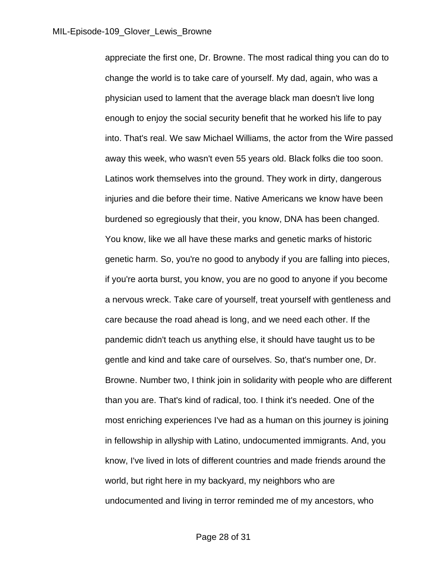appreciate the first one, Dr. Browne. The most radical thing you can do to change the world is to take care of yourself. My dad, again, who was a physician used to lament that the average black man doesn't live long enough to enjoy the social security benefit that he worked his life to pay into. That's real. We saw Michael Williams, the actor from the Wire passed away this week, who wasn't even 55 years old. Black folks die too soon. Latinos work themselves into the ground. They work in dirty, dangerous injuries and die before their time. Native Americans we know have been burdened so egregiously that their, you know, DNA has been changed. You know, like we all have these marks and genetic marks of historic genetic harm. So, you're no good to anybody if you are falling into pieces, if you're aorta burst, you know, you are no good to anyone if you become a nervous wreck. Take care of yourself, treat yourself with gentleness and care because the road ahead is long, and we need each other. If the pandemic didn't teach us anything else, it should have taught us to be gentle and kind and take care of ourselves. So, that's number one, Dr. Browne. Number two, I think join in solidarity with people who are different than you are. That's kind of radical, too. I think it's needed. One of the most enriching experiences I've had as a human on this journey is joining in fellowship in allyship with Latino, undocumented immigrants. And, you know, I've lived in lots of different countries and made friends around the world, but right here in my backyard, my neighbors who are undocumented and living in terror reminded me of my ancestors, who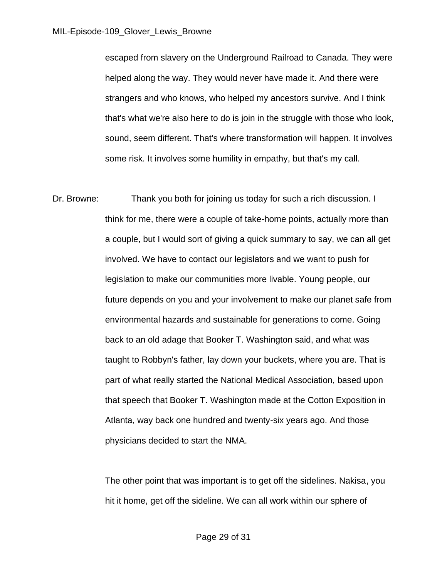escaped from slavery on the Underground Railroad to Canada. They were helped along the way. They would never have made it. And there were strangers and who knows, who helped my ancestors survive. And I think that's what we're also here to do is join in the struggle with those who look, sound, seem different. That's where transformation will happen. It involves some risk. It involves some humility in empathy, but that's my call.

Dr. Browne: Thank you both for joining us today for such a rich discussion. I think for me, there were a couple of take-home points, actually more than a couple, but I would sort of giving a quick summary to say, we can all get involved. We have to contact our legislators and we want to push for legislation to make our communities more livable. Young people, our future depends on you and your involvement to make our planet safe from environmental hazards and sustainable for generations to come. Going back to an old adage that Booker T. Washington said, and what was taught to Robbyn's father, lay down your buckets, where you are. That is part of what really started the National Medical Association, based upon that speech that Booker T. Washington made at the Cotton Exposition in Atlanta, way back one hundred and twenty-six years ago. And those physicians decided to start the NMA.

> The other point that was important is to get off the sidelines. Nakisa, you hit it home, get off the sideline. We can all work within our sphere of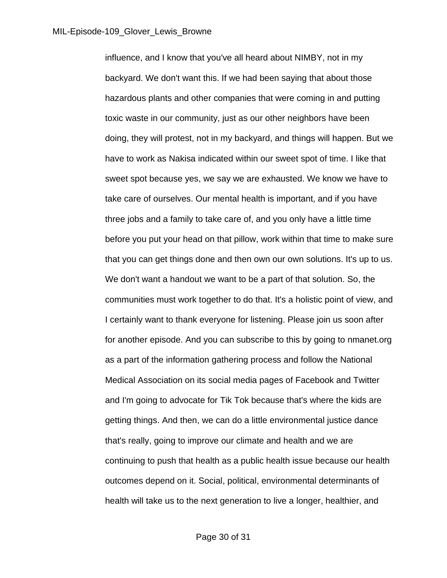influence, and I know that you've all heard about NIMBY, not in my backyard. We don't want this. If we had been saying that about those hazardous plants and other companies that were coming in and putting toxic waste in our community, just as our other neighbors have been doing, they will protest, not in my backyard, and things will happen. But we have to work as Nakisa indicated within our sweet spot of time. I like that sweet spot because yes, we say we are exhausted. We know we have to take care of ourselves. Our mental health is important, and if you have three jobs and a family to take care of, and you only have a little time before you put your head on that pillow, work within that time to make sure that you can get things done and then own our own solutions. It's up to us. We don't want a handout we want to be a part of that solution. So, the communities must work together to do that. It's a holistic point of view, and I certainly want to thank everyone for listening. Please join us soon after for another episode. And you can subscribe to this by going to nmanet.org as a part of the information gathering process and follow the National Medical Association on its social media pages of Facebook and Twitter and I'm going to advocate for Tik Tok because that's where the kids are getting things. And then, we can do a little environmental justice dance that's really, going to improve our climate and health and we are continuing to push that health as a public health issue because our health outcomes depend on it. Social, political, environmental determinants of health will take us to the next generation to live a longer, healthier, and